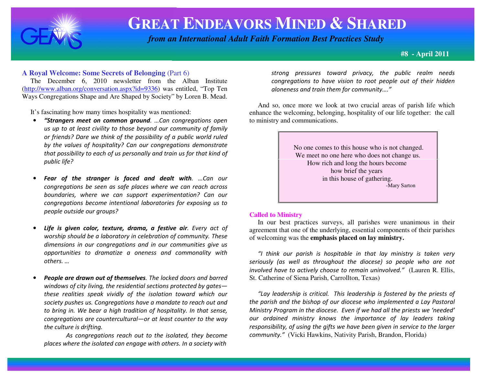

# **GREAT ENDEAVORS MINED & <sup>S</sup>HARED**

 *from an International Adult Faith Formation Best Practices Study*

**#8 - April 2011**

## **A Royal Welcome: Some Secrets of Belonging** (Part 6)

 The December 6, 2010 newsletter from the Alban Institute (http://www.alban.org/conversation.aspx?id=9336) was entitled, "Top Ten Ways Congregations Shape and Are Shaped by Society" by Loren B. Mead.

It's fascinating how many times hospitality was mentioned:

- • "Strangers meet on common ground. …Can congregations open us up to at least civility to those beyond our community of family or friends? Dare we think of the possibility of a public world ruled by the values of hospitality? Can our congregations demonstrate that possibility to each of us personally and train us for that kind of public life?
- •Fear of the stranger is faced and dealt with. ... Can our congregations be seen as safe places where we can reach across boundaries, where we can support experimentation? Can our congregations become intentional laboratories for exposing us to people outside our groups?
- •Life is given color, texture, drama, a festive air. Every act of worship should be a laboratory in celebration of community. These dimensions in our congregations and in our communities give us opportunities to dramatize a oneness and commonality with others. …
- •People are drawn out of themselves. The locked doors and barred windows of city living, the residential sections protected by gates these realities speak vividly of the isolation toward which our society pushes us. Congregations have a mandate to reach out and to bring in. We bear a high tradition of hospitality. In that sense, congregations are countercultural—or at least counter to the way the culture is drifting.

As congregations reach out to the isolated, they become places where the isolated can engage with others. In a society with

strong pressures toward privacy, the public realm needs congregations to have vision to root people out of their hidden aloneness and train them for community…."

 And so, once more we look at two crucial areas of parish life which enhance the welcoming, belonging, hospitality of our life together: the call to ministry and communications.



## **Called to Ministry**

 In our best practices surveys, all parishes were unanimous in their agreement that one of the underlying, essential components of their parishes of welcoming was the **emphasis placed on lay ministry.** 

"I think our parish is hospitable in that lay ministry is taken very seriously (as well as throughout the diocese) so people who are not involved have to actively choose to remain uninvolved." (Lauren R. Ellis, St. Catherine of Siena Parish, Carrollton, Texas)

"Lay leadership is critical. This leadership is fostered by the priests of the parish and the bishop of our diocese who implemented a Lay Pastoral Ministry Program in the diocese. Even if we had all the priests we 'needed' our ordained ministry knows the importance of lay leaders taking responsibility, of using the gifts we have been given in service to the largercommunity." (Vicki Hawkins, Nativity Parish, Brandon, Florida)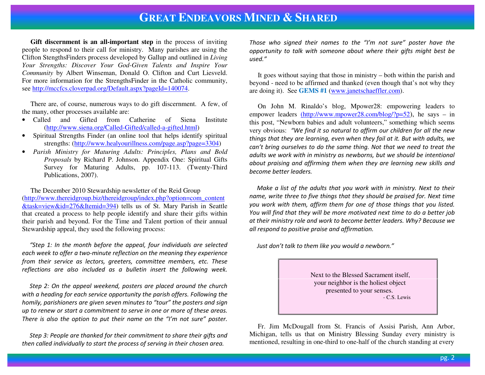## **GREAT ENDEAVORS MINED & <sup>S</sup>HARED**

**Gift discernment is an all-important step** in the process of inviting people to respond to their call for ministry. Many parishes are using the Clifton StengthsFinders process developed by Gallup and outlined in *Living Your Strengths: Discover Your God-Given Talents and Inspire Your Community* by Albert Winseman, Donald O. Clifton and Curt Liesveld. For more information for the StrengthsFinder in the Catholic community, see http://mccfcs.cloverpad.org/Default.aspx?pageId=140074.

 There are, of course, numerous ways to do gift discernment. A few, of the many, other processes available are:

- Called and Gifted from Catherine of Siena Institute (http://www.siena.org/Called-Gifted/called-a-gifted.html)
- Spiritual Strengths Finder (an online tool that helps identify spiritual •strengths: (http://www.healyourillness.com/page.asp?page=3304)
- *Parish Ministry for Maturing Adults: Principles, Plans and Bold Proposals* by Richard P. Johnson. Appendix One: Spiritual Gifts Survey for Maturing Adults, pp. 107-113. (Twenty-Third Publications, 2007).

 The December 2010 Stewardship newsletter of the Reid Group (http://www.thereidgroup.biz/thereidgroup/index.php?option=com\_content&task=view&id=276&Itemid=394) tells us of St. Mary Parish in Seattle that created a process to help people identify and share their gifts within their parish and beyond. For the Time and Talent portion of their annual Stewardship appeal, they used the following process:

 "Step 1: In the month before the appeal, four individuals are selected each week to offer a two-minute reflection on the meaning they experience from their service as lectors, greeters, committee members, etc. These reflections are also included as a bulletin insert the following week.

 Step 2: On the appeal weekend, posters are placed around the church with a heading for each service opportunity the parish offers. Following the homily, parishioners are given seven minutes to "tour" the posters and sign up to renew or start a commitment to serve in one or more of these areas. There is also the option to put their name on the "I'm not sure" poster.

 Step 3: People are thanked for their commitment to share their gifts and then called individually to start the process of serving in their chosen area.

Those who signed their names to the "I'm not sure" poster have the opportunity to talk with someone about where their gifts might best be  $used$ "

 It goes without saying that those in ministry – both within the parish and beyond - need to be affirmed and thanked (even though that's not why they are doing it). See **GEMS #1** (www.janetschaeffler.com).

 On John M. Rinaldo's blog, Mpower28: empowering leaders toempower leaders <u>(http://www.mpower28.com/blog/?p=52</u>), he says – in this post, "Newborn babies and adult volunteers," something which seems very obvious: "We find it so natural to affirm our children for all the new things that they are learning, even when they fail at it. But with adults, we can't bring ourselves to do the same thing. Not that we need to treat the adults we work with in ministry as newborns, but we should be intentional about praising and affirming them when they are learning new skills and become better leaders.

 Make a list of the adults that you work with in ministry. Next to their name, write three to five things that they should be praised for. Next time you work with them, affirm them for one of those things that you listed. You will find that they will be more motivated next time to do a better job at their ministry role and work to become better leaders. Why? Because we all respond to positive praise and affirmation.

Just don't talk to them like you would a newborn."

 Next to the Blessed Sacrament itself, your neighbor is the holiest object presented to your senses. - C.S. Lewis

 Fr. Jim McDougall from St. Francis of Assisi Parish, Ann Arbor, Michigan, tells us that on Ministry Blessing Sunday every ministry is mentioned, resulting in one-third to one-half of the church standing at every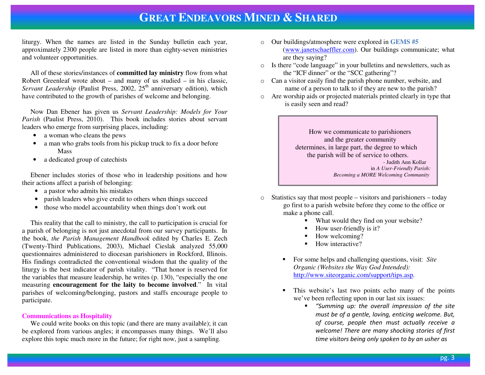## **GREAT ENDEAVORS MINED &SHARED**

liturgy. When the names are listed in the Sunday bulletin each year, approximately 2300 people are listed in more than eighty-seven ministries and volunteer opportunities.

 All of these stories/instances of **committed lay ministry** flow from what Robert Greenleaf wrote about – and many of us studied – in his classic, *Servant Leadership* (Paulist Press, 2002, 25<sup>th</sup> anniversary edition), which have contributed to the growth of parishes of welcome and belonging.

 Now Dan Ebener has given us *Servant Leadership: Models for Your Parish* (Paulist Press, 2010). This book includes stories about servant leaders who emerge from surprising places, including:

- a woman who cleans the pews
- $\bullet$  a man who grabs tools from his pickup truck to fix a door before **Mass**
- a dedicated group of catechists  $\bullet$

 Ebener includes stories of those who in leadership positions and how their actions affect a parish of belonging:

- a pastor who admits his mistakes
- parish leaders who give credit to others when things succeed
- those who model accountability when things don't work out

 This reality that the call to ministry, the call to participation is crucial for a parish of belonging is not just anecdotal from our survey participants. In the book, *the Parish Management Handbook* edited by Charles E. Zech (Twenty-Third Publications, 2003), Michael Cieslak analyzed 55,000 questionnaires administered to diocesan parishioners in Rockford, Illinois. His findings contradicted the conventional wisdom that the quality of the liturgy is the best indicator of parish vitality. "That honor is reserved for the variables that measure leadership, he writes (p. 130), "especially the one measuring **encouragement for the laity to become involved**." In vital parishes of welcoming/belonging, pastors and staffs encourage people to participate.

## **Communications as Hospitality**

 We could write books on this topic (and there are many available); it can be explored from various angles; it encompasses many things. We'll also explore this topic much more in the future; for right now, just a sampling.

- o Our buildings/atmosphere were explored in **GEMS #5** (www.janetschaeffler.com). Our buildings communicate; what are they saying?
- $\circ$  Is there "code language" in your bulletins and newsletters, such as the "ICF dinner" or the "SCC gathering"?
- o Can a visitor easily find the parish phone number, website, and name of a person to talk to if they are new to the parish?
- o Are worship aids or projected materials printed clearly in type that is easily seen and read?

 How we communicate to parishioners and the greater community determines, in large part, the degree to which the parish will be of service to others. - Judith Ann Kollar in *A User-Friendly Parish: Becoming a MORE Welcoming Community* 

- o Statistics say that most people – visitors and parishioners – today go first to a parish website before they come to the office or make a phone call.
	- What would they find on your website?
	- How user-friendly is it?
	- $\blacksquare$  How welcoming?
	- $\blacksquare$  How interactive?
	- For some helps and challenging questions, visit: *Site Organic (Websites the Way God Intended):*http://www.siteorganic.com/support/tips.asp.
	- This website's last two points echo many of the points we've been reflecting upon in our last six issues:
		- "Summing up: the overall impression of the site must be of a gentle, loving, enticing welcome. But, of course, people then must actually receive a welcome! There are many shocking stories of first time visitors being only spoken to by an usher as